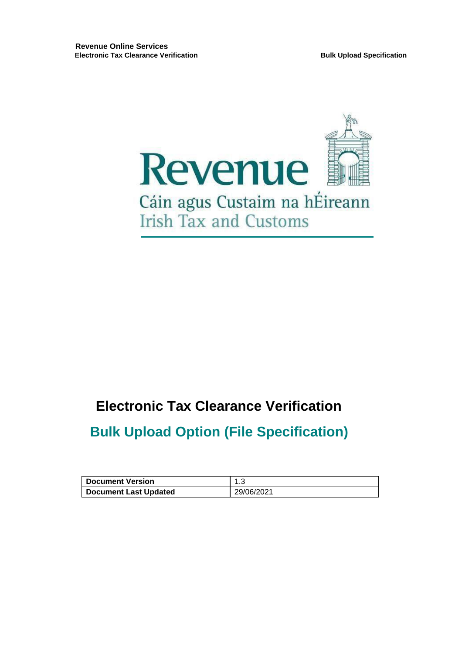

# **Electronic Tax Clearance Verification**

# **Bulk Upload Option (File Specification)**

| <b>Document Version</b> |            |
|-------------------------|------------|
| Document Last Updated   | 29/06/2021 |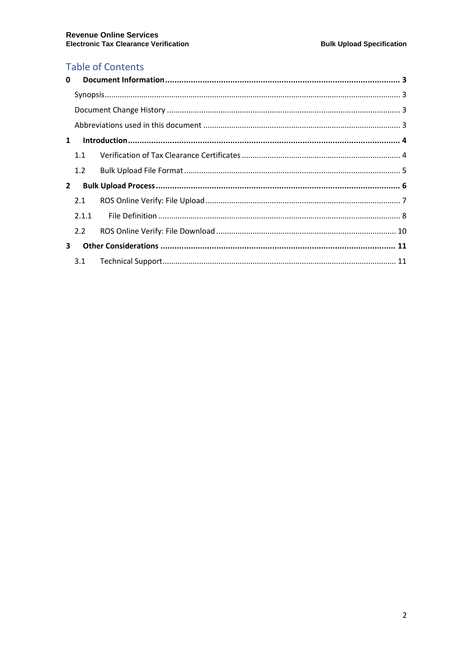# **Table of Contents**

| 1.1   |                                              |  |
|-------|----------------------------------------------|--|
| 1.2   |                                              |  |
|       |                                              |  |
| 2.1   |                                              |  |
| 2.1.1 |                                              |  |
| 2.2   |                                              |  |
|       |                                              |  |
|       |                                              |  |
| 3     | $\mathbf{0}$<br>$\mathbf{1}$<br>$\mathbf{2}$ |  |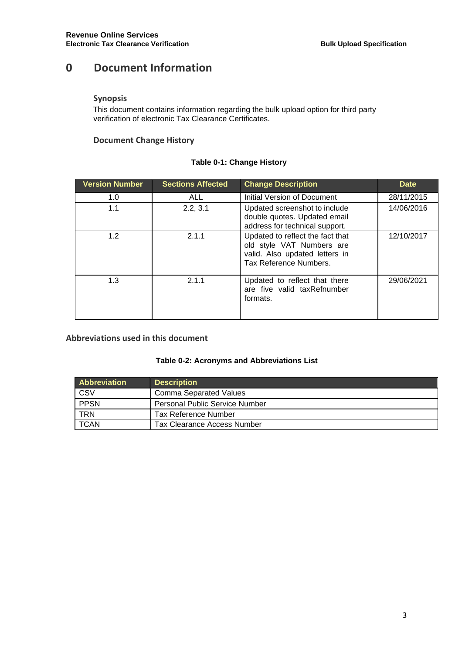# <span id="page-2-0"></span>**0 Document Information**

#### <span id="page-2-1"></span>**Synopsis**

This document contains information regarding the bulk upload option for third party verification of electronic Tax Clearance Certificates.

#### <span id="page-2-2"></span>**Document Change History**

### **Table 0-1: Change History**

| <b>Version Number</b> | <b>Sections Affected</b> | <b>Change Description</b>                                                                                                 | <b>Date</b> |
|-----------------------|--------------------------|---------------------------------------------------------------------------------------------------------------------------|-------------|
| 1.0                   | <b>ALL</b>               | Initial Version of Document                                                                                               | 28/11/2015  |
| 1.1                   | 2.2, 3.1                 | Updated screenshot to include<br>double quotes. Updated email<br>address for technical support.                           | 14/06/2016  |
| 1.2                   | 2.1.1                    | Updated to reflect the fact that<br>old style VAT Numbers are<br>valid. Also updated letters in<br>Tax Reference Numbers. | 12/10/2017  |
| 1.3                   | 2.1.1                    | Updated to reflect that there<br>are five valid taxRefnumber<br>formats.                                                  | 29/06/2021  |

### <span id="page-2-3"></span>**Abbreviations used in this document**

#### **Table 0-2: Acronyms and Abbreviations List**

| <b>Abbreviation</b> | <b>Description</b>                    |
|---------------------|---------------------------------------|
| CSV                 | Comma Separated Values                |
| PPSN                | <b>Personal Public Service Number</b> |
| <b>TRN</b>          | Tax Reference Number                  |
| <b>TCAN</b>         | <b>Tax Clearance Access Number</b>    |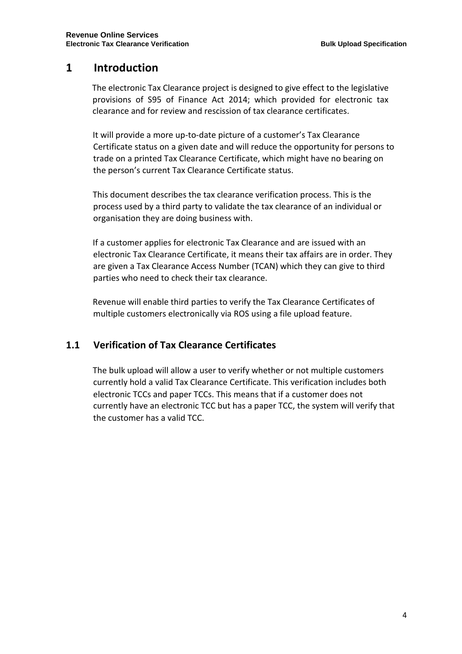# <span id="page-3-0"></span>**1 Introduction**

The electronic Tax Clearance project is designed to give effect to the legislative provisions of S95 of Finance Act 2014; which provided for electronic tax clearance and for review and rescission of tax clearance certificates.

It will provide a more up-to-date picture of a customer's Tax Clearance Certificate status on a given date and will reduce the opportunity for persons to trade on a printed Tax Clearance Certificate, which might have no bearing on the person's current Tax Clearance Certificate status.

This document describes the tax clearance verification process. This is the process used by a third party to validate the tax clearance of an individual or organisation they are doing business with.

If a customer applies for electronic Tax Clearance and are issued with an electronic Tax Clearance Certificate, it means their tax affairs are in order. They are given a Tax Clearance Access Number (TCAN) which they can give to third parties who need to check their tax clearance.

Revenue will enable third parties to verify the Tax Clearance Certificates of multiple customers electronically via ROS using a file upload feature.

## <span id="page-3-1"></span>**1.1 Verification of Tax Clearance Certificates**

The bulk upload will allow a user to verify whether or not multiple customers currently hold a valid Tax Clearance Certificate. This verification includes both electronic TCCs and paper TCCs. This means that if a customer does not currently have an electronic TCC but has a paper TCC, the system will verify that the customer has a valid TCC.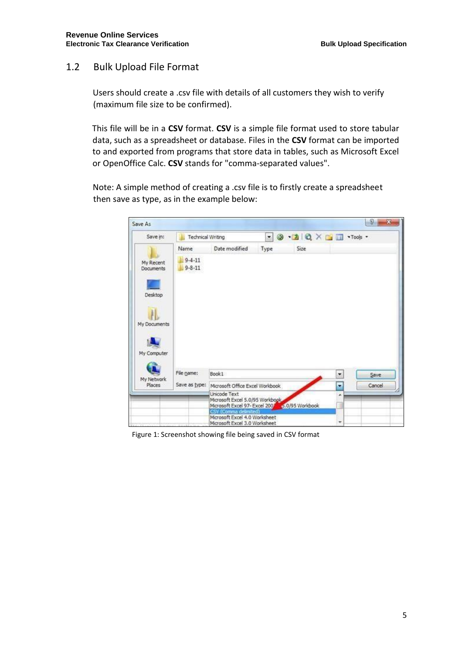## <span id="page-4-0"></span>1.2 Bulk Upload File Format

Users should create a .csv file with details of all customers they wish to verify (maximum file size to be confirmed).

This file will be in a **CSV** format. **CSV** is a simple file format used to store tabular data, such as a spreadsheet or database. Files in the **CSV** format can be imported to and exported from programs that store data in tables, such as Microsoft Excel or OpenOffice Calc. **CSV** stands for "comma-separated values".

Note: A simple method of creating a .csv file is to firstly create a spreadsheet then save as type, as in the example below:

| Save As                       |                              |                                                                                                    |      |      |   | 2<br>æ |
|-------------------------------|------------------------------|----------------------------------------------------------------------------------------------------|------|------|---|--------|
| Save in:                      | <b>Technical Writing</b>     |                                                                                                    |      |      |   |        |
|                               | Name                         | Date modified                                                                                      | Type | Size |   |        |
| My Recent<br><b>Documents</b> | $9 - 4 - 11$<br>$9 - 8 - 11$ |                                                                                                    |      |      |   |        |
| Desktop                       |                              |                                                                                                    |      |      |   |        |
| My Documents                  |                              |                                                                                                    |      |      |   |        |
|                               |                              |                                                                                                    |      |      |   |        |
| My Computer                   |                              |                                                                                                    |      |      |   |        |
|                               | File name:                   | Book1                                                                                              |      |      | ۳ | Save   |
| My Network<br><b>Places</b>   | Save as type:                | Microsoft Office Excel Workbook                                                                    |      |      | ۰ | Cancel |
|                               |                              | Unicode Text<br>Microsoft Excel 5.0/95 Workbook,<br>Microsoft Excel 97- Excel 2007 3.0/95 Workbook |      |      | ۸ |        |
|                               |                              | CSV (Comma delimited)<br>Microsoft Excel 4.0 Worksheet<br>Microsoft Excel 3.0 Worksheet            |      |      | ۰ |        |

Figure 1: Screenshot showing file being saved in CSV format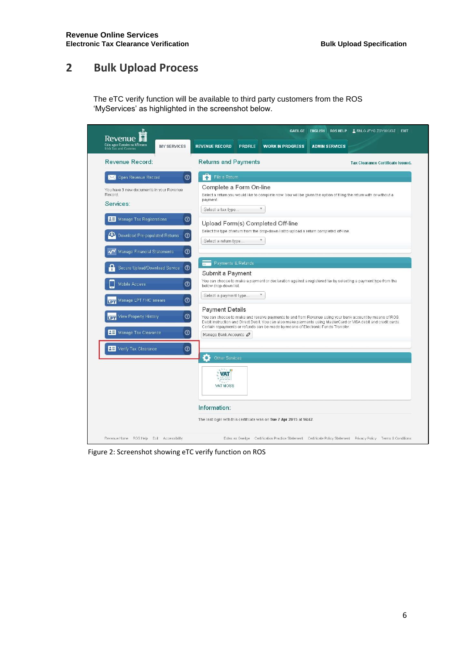# <span id="page-5-0"></span>**2 Bulk Upload Process**

The eTC verify function will be available to third party customers from the ROS 'MyServices' as highlighted in the screenshot below.

| Cáin agus Custaim na hÉireann<br><b>MY SERVICES</b><br><b>Irish Tax and Customs</b>                                                         | <b>REVENUE RECORD</b><br><b>PROFILE</b><br><b>WORK IN PROGRESS</b><br><b>ADMIN SERVICES</b>                                                                                                                                                                                                                                              |
|---------------------------------------------------------------------------------------------------------------------------------------------|------------------------------------------------------------------------------------------------------------------------------------------------------------------------------------------------------------------------------------------------------------------------------------------------------------------------------------------|
| Revenue Record:                                                                                                                             | <b>Returns and Payments</b><br><b>Tax Clearance Certificate Issued.</b>                                                                                                                                                                                                                                                                  |
| $\circledcirc$<br>Open Revenue Record                                                                                                       | File a Return                                                                                                                                                                                                                                                                                                                            |
| You have 3 new documents in your Revenue<br>Record.<br>Services:                                                                            | Complete a Form On-line<br>Select a return you would like to complete now. You will be given the option of filing the return with or without a<br>payment.<br>$\overline{\tau}$<br>Select a tax type                                                                                                                                     |
| $\odot$<br><b>RE</b> Manage Tax Registrations<br>$\odot$<br>Download Pre-populated Returns<br>$\circledcirc$<br>Manage Financial Statements | Upload Form(s) Completed Off-line<br>Select the type of return from the drop-down list to upload a return completed off-line.<br>v.<br>Select a return type                                                                                                                                                                              |
| $\circledcirc$<br>Secure Upload/Download Service                                                                                            | Payments & Refunds<br>Submit a Payment                                                                                                                                                                                                                                                                                                   |
| $\odot$<br>Mobile Access<br>$\odot$<br>Manage LPT / HC arrears                                                                              | You can choose to make a payment or declaration against a registered tax by selecting a payment type from the<br>below drop-down list.<br>Select a payment type<br>$\overline{\mathbf{v}}$                                                                                                                                               |
| $\circledcirc$<br>View Property History<br>$\odot$<br><b>RE</b> Manage Tax Clearance                                                        | <b>Payment Details</b><br>You can choose to make and receive payments to and from Revenue using your bank account by means of ROS<br>Debit Instruction and Direct Debit. You can also make payments using MasterCard or VISA debit and credit cards.<br>Certain repayments or refunds can be made by means of Electronic Funds Transfer. |
| $\circledcirc$<br><b>B</b> Verify Tax Clearance                                                                                             | Manage Bank Accounts                                                                                                                                                                                                                                                                                                                     |
|                                                                                                                                             | $\bullet$<br>Other Services<br>VAT<br>VAT MOSS                                                                                                                                                                                                                                                                                           |
|                                                                                                                                             | Information:                                                                                                                                                                                                                                                                                                                             |
|                                                                                                                                             | The last login with this certificate was on Tue 7 Apr 2015 at 16:42.                                                                                                                                                                                                                                                                     |

Figure 2: Screenshot showing eTC verify function on ROS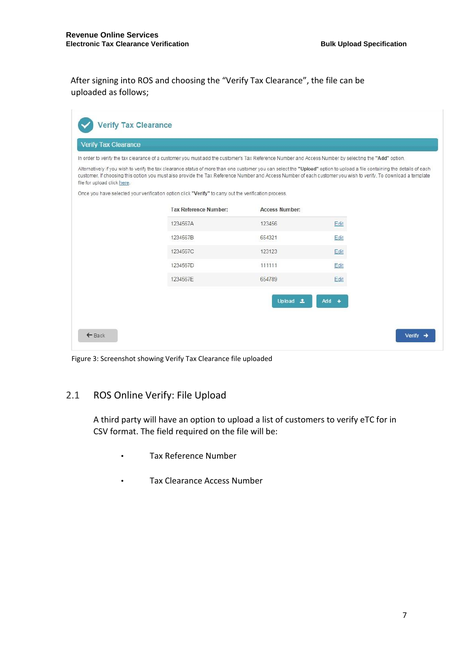After signing into ROS and choosing the "Verify Tax Clearance", the file can be uploaded as follows;

| <b>Verify Tax Clearance</b> |                                                                                                                                                                                                                                                                                                                                             |                       |         |  |
|-----------------------------|---------------------------------------------------------------------------------------------------------------------------------------------------------------------------------------------------------------------------------------------------------------------------------------------------------------------------------------------|-----------------------|---------|--|
|                             | In order to verify the tax clearance of a customer you must add the customer's Tax Reference Number and Access Number by selecting the "Add" option.                                                                                                                                                                                        |                       |         |  |
| file for upload click here. | Alternatively if you wish to verify the tax clearance status of more than one customer you can select the "Upload" option to upload a file containing the details of each<br>customer. If choosing this option you must also provide the Tax Reference Number and Access Number of each customer you wish to verify. To download a template |                       |         |  |
|                             | Once you have selected your verification option click "Verify" to carry out the verification process.                                                                                                                                                                                                                                       |                       |         |  |
|                             | <b>Tax Reference Number:</b>                                                                                                                                                                                                                                                                                                                | <b>Access Number:</b> |         |  |
|                             | 1234567A                                                                                                                                                                                                                                                                                                                                    | 123456                | Edit    |  |
|                             | 1234567B                                                                                                                                                                                                                                                                                                                                    | 654321                | Edit    |  |
|                             | 1234567C                                                                                                                                                                                                                                                                                                                                    | 123123                | Edit    |  |
|                             | 1234567D                                                                                                                                                                                                                                                                                                                                    | 111111                | Edit    |  |
|                             | 1234567E                                                                                                                                                                                                                                                                                                                                    | 654789                | Edit    |  |
|                             |                                                                                                                                                                                                                                                                                                                                             |                       |         |  |
|                             |                                                                                                                                                                                                                                                                                                                                             | Upload ±              | $Add +$ |  |

Figure 3: Screenshot showing Verify Tax Clearance file uploaded

## <span id="page-6-0"></span>2.1 ROS Online Verify: File Upload

A third party will have an option to upload a list of customers to verify eTC for in CSV format. The field required on the file will be:

- Tax Reference Number
- Tax Clearance Access Number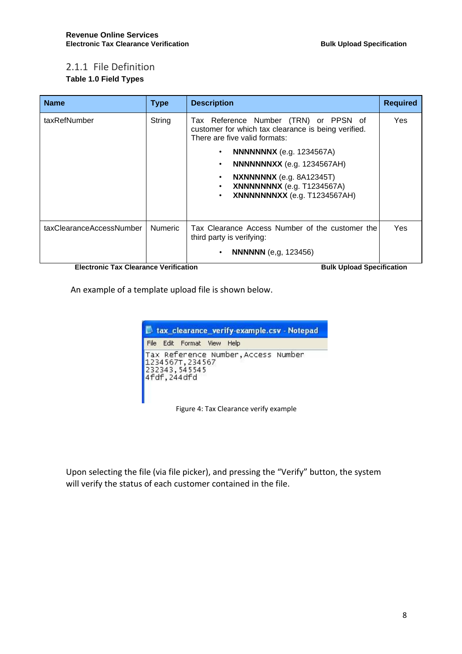### <span id="page-7-0"></span>2.1.1 File Definition **Table 1.0 Field Types**

| <b>Name</b>                                                       | <b>Type</b>    | <b>Description</b>                                                                                                                                                                                                                                                                                                                                                         | <b>Required</b> |
|-------------------------------------------------------------------|----------------|----------------------------------------------------------------------------------------------------------------------------------------------------------------------------------------------------------------------------------------------------------------------------------------------------------------------------------------------------------------------------|-----------------|
| taxRefNumber                                                      | String         | Tax Reference Number (TRN) or PPSN of<br>customer for which tax clearance is being verified.<br>There are five valid formats:<br><b>NNNNNNX</b> (e.g. 1234567A)<br>$\bullet$<br><b>NNNNNNXX</b> (e.g. 1234567AH)<br>$\bullet$<br><b>NXNNNNNX</b> (e.g. 8A12345T)<br>$\bullet$<br><b>XNNNNNNX</b> (e.g. T1234567A)<br>$\bullet$<br>XNNNNNNXX (e.g. T1234567AH)<br>$\bullet$ | <b>Yes</b>      |
| taxClearanceAccessNumber<br>Flastrante Tay Alesrange Verification | <b>Numeric</b> | Tax Clearance Access Number of the customer the<br>third party is verifying:<br><b>NNNNNN</b> (e.g. 123456)<br>$\bullet$<br>Dulle Holand Constitution                                                                                                                                                                                                                      | <b>Yes</b>      |

**Electronic Tax Clearance Verification Server All Server Specification Bulk Upload Specification** 

An example of a template upload file is shown below.

| tax_clearance_verify-example.csv - Notepad         |  |                                     |  |
|----------------------------------------------------|--|-------------------------------------|--|
| File Edit Format View Help                         |  |                                     |  |
| 1234567T, 234567<br>232343, 545545<br>4fdf, 244dfd |  | Tax Reference Number, Access Number |  |

Figure 4: Tax Clearance verify example

Upon selecting the file (via file picker), and pressing the "Verify" button, the system will verify the status of each customer contained in the file.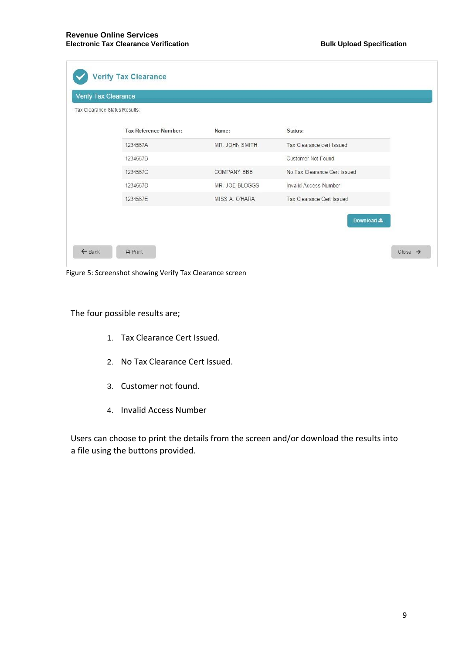| Tax Clearance Status Results: |                    |                              |
|-------------------------------|--------------------|------------------------------|
| <b>Tax Reference Number:</b>  | Name:              | Status:                      |
| 1234567A                      | MR. JOHN SMITH     | Tax Clearance cert Issued    |
| 1234567B                      |                    | Customer Not Found           |
| 1234567C                      | <b>COMPANY BBB</b> | No Tax Clearance Cert Issued |
| 1234567D                      | MR. JOE BLOGGS     | Invalid Access Number        |
| 1234567E                      | MISS A. O'HARA     | Tax Clearance Cert Issued    |
|                               |                    | Download &                   |

Figure 5: Screenshot showing Verify Tax Clearance screen

The four possible results are;

- 1. Tax Clearance Cert Issued.
- 2. No Tax Clearance Cert Issued.
- 3. Customer not found.
- 4. Invalid Access Number

Users can choose to print the details from the screen and/or download the results into a file using the buttons provided.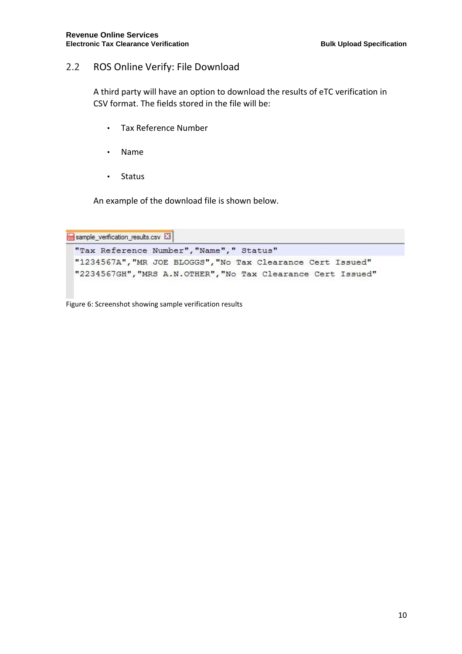### <span id="page-9-0"></span>2.2 ROS Online Verify: File Download

A third party will have an option to download the results of eTC verification in CSV format. The fields stored in the file will be:

- Tax Reference Number
- Name
- Status

An example of the download file is shown below.

```
sample_verification_results.csv E3
"Tax Reference Number", "Name", " Status"
"1234567A", "MR JOE BLOGGS", "No Tax Clearance Cert Issued"
"2234567GH", "MRS A.N.OTHER", "No Tax Clearance Cert Issued"
```
Figure 6: Screenshot showing sample verification results